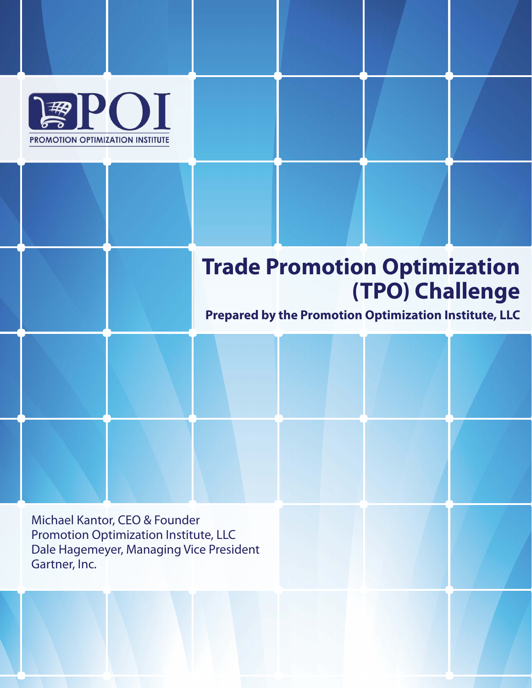

## **Trade Promotion Optimization (TPO) Challenge**

**Prepared by the Promotion Optimization Institute, LLC**

Michael Kantor, CEO & Founder Promotion Optimization Institute, LLC Dale Hagemeyer, Managing Vice President Gartner, Inc.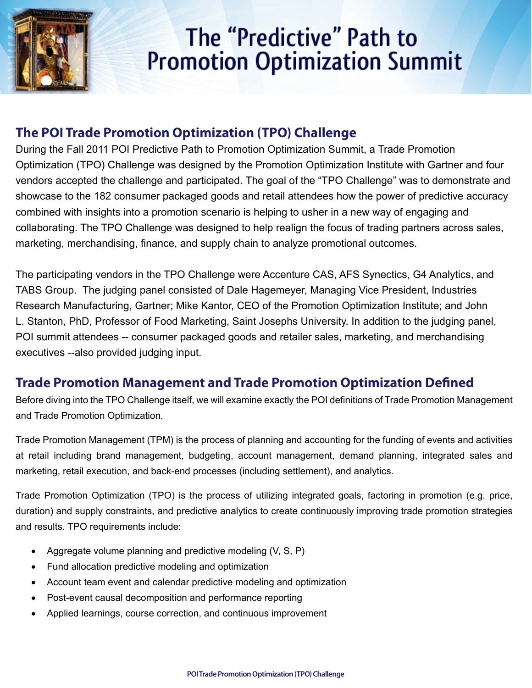

# The "Predictive" Path to **Promotion Optimization Summit**

#### **The POI Trade Promotion Optimization (TPO) Challenge**

During the Fall 2011 POI Predictive Path to Promotion Optimization Summit, a Trade Promotion Optimization (TPO) Challenge was designed by the Promotion Optimization Institute with Gartner and four vendors accepted the challenge and participated. The goal of the "TPO Challenge" was to demonstrate and showcase to the 182 consumer packaged goods and retail attendees how the power of predictive accuracy combined with insights into a promotion scenario is helping to usher in a new way of engaging and collaborating. The TPO Challenge was designed to help realign the focus of trading partners across sales, marketing, merchandising, finance, and supply chain to analyze promotional outcomes.

The participating vendors in the TPO Challenge were Accenture CAS, AFS Synectics, G4 Analytics, and TABS Group. The judging panel consisted of Dale Hagemeyer, Managing Vice President, Industries Research Manufacturing, Gartner; Mike Kantor, CEO of the Promotion Optimization Institute; and John L. Stanton, PhD, Professor of Food Marketing, Saint Josephs University. In addition to the judging panel, POI summit attendees -- consumer packaged goods and retailer sales, marketing, and merchandising executives --also provided judging input.

#### **Trade Promotion Management and Trade Promotion Optimization Defined**

Before diving into the TPO Challenge itself, we will examine exactly the POI definitions of Trade Promotion Management and Trade Promotion Optimization.

Trade Promotion Management (TPM) is the process of planning and accounting for the funding of events and activities at retail including brand management, budgeting, account management, demand planning, integrated sales and marketing, retail execution, and back-end processes (including settlement), and analytics.

Trade Promotion Optimization (TPO) is the process of utilizing integrated goals, factoring in promotion (e.g. price, duration) and supply constraints, and predictive analytics to create continuously improving trade promotion strategies and results. TPO requirements include:

- Aggregate volume planning and predictive modeling (V, S, P)
- Fund allocation predictive modeling and optimization
- Account team event and calendar predictive modeling and optimization
- **Post-event causal decomposition and performance reporting**
- Applied learnings, course correction, and continuous improvement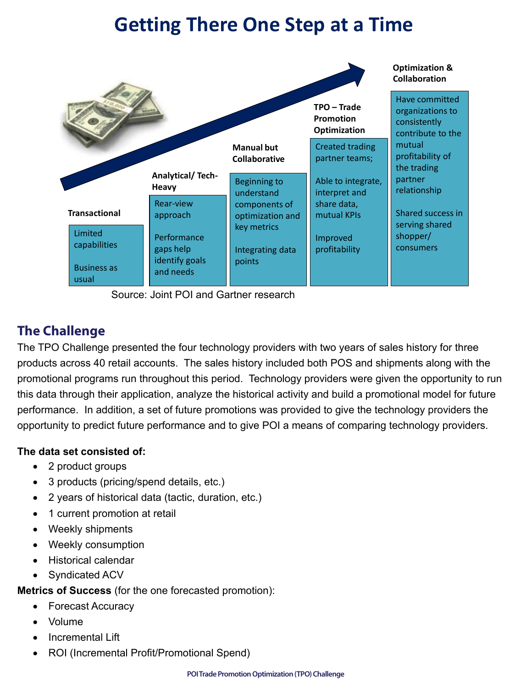## **Getting There One Step at a Time**



Source: Joint POI and Gartner research

#### **The Challenge**

The TPO Challenge presented the four technology providers with two years of sales history for three products across 40 retail accounts. The sales history included both POS and shipments along with the promotional programs run throughout this period. Technology providers were given the opportunity to run this data through their application, analyze the historical activity and build a promotional model for future performance. In addition, a set of future promotions was provided to give the technology providers the opportunity to predict future performance and to give POI a means of comparing technology providers.

#### **The data set consisted of:**

- 2 product groups
- 3 products (pricing/spend details, etc.)
- 2 years of historical data (tactic, duration, etc.)
- 1 current promotion at retail
- • Weekly shipments
- • Weekly consumption
- • Historical calendar
- Syndicated ACV

#### **Metrics of Success** (for the one forecasted promotion):

- • Forecast Accuracy
- • Volume
- Incremental Lift
- ROI (Incremental Profit/Promotional Spend)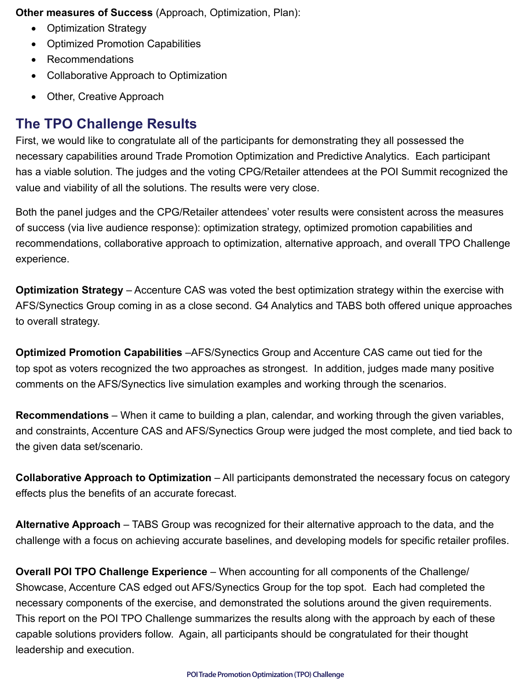**Other measures of Success** (Approach, Optimization, Plan):

- Optimization Strategy
- • Optimized Promotion Capabilities
- Recommendations
- • Collaborative Approach to Optimization
- Other, Creative Approach

## **The TPO Challenge Results**

First, we would like to congratulate all of the participants for demonstrating they all possessed the necessary capabilities around Trade Promotion Optimization and Predictive Analytics. Each participant has a viable solution. The judges and the voting CPG/Retailer attendees at the POI Summit recognized the value and viability of all the solutions. The results were very close.

Both the panel judges and the CPG/Retailer attendees' voter results were consistent across the measures of success (via live audience response): optimization strategy, optimized promotion capabilities and recommendations, collaborative approach to optimization, alternative approach, and overall TPO Challenge experience.

**Optimization Strategy** – Accenture CAS was voted the best optimization strategy within the exercise with AFS/Synectics Group coming in as a close second. G4 Analytics and TABS both offered unique approaches to overall strategy.

**Optimized Promotion Capabilities** –AFS/Synectics Group and Accenture CAS came out tied for the top spot as voters recognized the two approaches as strongest. In addition, judges made many positive comments on the AFS/Synectics live simulation examples and working through the scenarios.

**Recommendations** – When it came to building a plan, calendar, and working through the given variables, and constraints, Accenture CAS and AFS/Synectics Group were judged the most complete, and tied back to the given data set/scenario.

**Collaborative Approach to Optimization** – All participants demonstrated the necessary focus on category effects plus the benefits of an accurate forecast.

**Alternative Approach** – TABS Group was recognized for their alternative approach to the data, and the challenge with a focus on achieving accurate baselines, and developing models for specific retailer profiles.

**Overall POI TPO Challenge Experience** – When accounting for all components of the Challenge/ Showcase, Accenture CAS edged out AFS/Synectics Group for the top spot. Each had completed the necessary components of the exercise, and demonstrated the solutions around the given requirements. This report on the POI TPO Challenge summarizes the results along with the approach by each of these capable solutions providers follow. Again, all participants should be congratulated for their thought leadership and execution.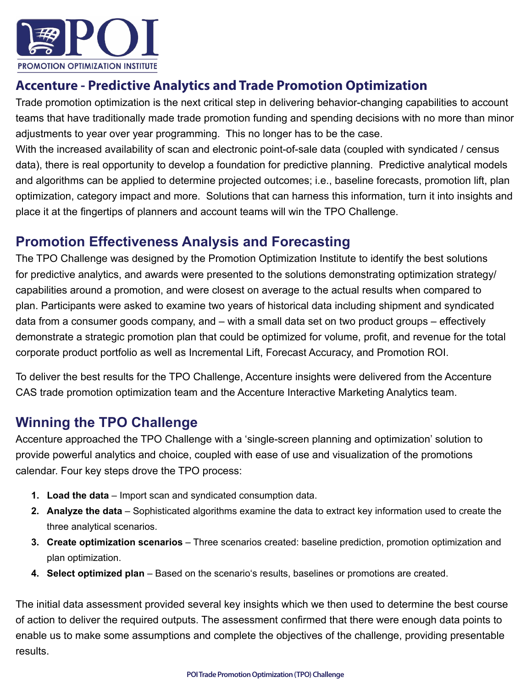

## **Accenture - Predictive Analytics and Trade Promotion Optimization**

Trade promotion optimization is the next critical step in delivering behavior-changing capabilities to account teams that have traditionally made trade promotion funding and spending decisions with no more than minor adjustments to year over year programming. This no longer has to be the case.

With the increased availability of scan and electronic point-of-sale data (coupled with syndicated / census data), there is real opportunity to develop a foundation for predictive planning. Predictive analytical models and algorithms can be applied to determine projected outcomes; i.e., baseline forecasts, promotion lift, plan optimization, category impact and more. Solutions that can harness this information, turn it into insights and place it at the fingertips of planners and account teams will win the TPO Challenge.

#### **Promotion Effectiveness Analysis and Forecasting**

The TPO Challenge was designed by the Promotion Optimization Institute to identify the best solutions for predictive analytics, and awards were presented to the solutions demonstrating optimization strategy/ capabilities around a promotion, and were closest on average to the actual results when compared to plan. Participants were asked to examine two years of historical data including shipment and syndicated data from a consumer goods company, and – with a small data set on two product groups – effectively demonstrate a strategic promotion plan that could be optimized for volume, profit, and revenue for the total corporate product portfolio as well as Incremental Lift, Forecast Accuracy, and Promotion ROI.

To deliver the best results for the TPO Challenge, Accenture insights were delivered from the Accenture CAS trade promotion optimization team and the Accenture Interactive Marketing Analytics team.

## **Winning the TPO Challenge**

Accenture approached the TPO Challenge with a 'single-screen planning and optimization' solution to provide powerful analytics and choice, coupled with ease of use and visualization of the promotions calendar. Four key steps drove the TPO process:

- **1. Load the data** Import scan and syndicated consumption data.
- **2. Analyze the data** Sophisticated algorithms examine the data to extract key information used to create the three analytical scenarios.
- **3. Create optimization scenarios** Three scenarios created: baseline prediction, promotion optimization and plan optimization.
- **4. Select optimized plan**  Based on the scenario's results, baselines or promotions are created.

The initial data assessment provided several key insights which we then used to determine the best course of action to deliver the required outputs. The assessment confirmed that there were enough data points to enable us to make some assumptions and complete the objectives of the challenge, providing presentable results.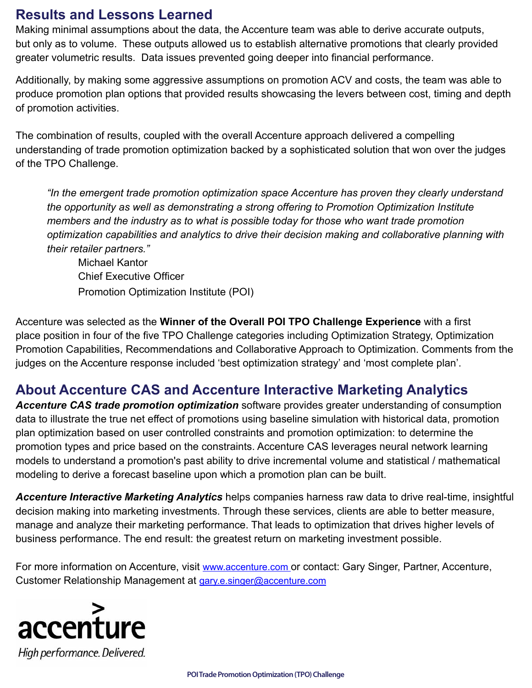#### **Results and Lessons Learned**

Making minimal assumptions about the data, the Accenture team was able to derive accurate outputs, but only as to volume. These outputs allowed us to establish alternative promotions that clearly provided greater volumetric results. Data issues prevented going deeper into financial performance.

Additionally, by making some aggressive assumptions on promotion ACV and costs, the team was able to produce promotion plan options that provided results showcasing the levers between cost, timing and depth of promotion activities.

The combination of results, coupled with the overall Accenture approach delivered a compelling understanding of trade promotion optimization backed by a sophisticated solution that won over the judges of the TPO Challenge.

*"In the emergent trade promotion optimization space Accenture has proven they clearly understand the opportunity as well as demonstrating a strong offering to Promotion Optimization Institute members and the industry as to what is possible today for those who want trade promotion optimization capabilities and analytics to drive their decision making and collaborative planning with their retailer partners."*

Michael Kantor Chief Executive Officer Promotion Optimization Institute (POI)

Accenture was selected as the **Winner of the Overall POI TPO Challenge Experience** with a first place position in four of the five TPO Challenge categories including Optimization Strategy, Optimization Promotion Capabilities, Recommendations and Collaborative Approach to Optimization. Comments from the judges on the Accenture response included 'best optimization strategy' and 'most complete plan'.

#### **About Accenture CAS and Accenture Interactive Marketing Analytics**

*Accenture CAS trade promotion optimization* software provides greater understanding of consumption data to illustrate the true net effect of promotions using baseline simulation with historical data, promotion plan optimization based on user controlled constraints and promotion optimization: to determine the promotion types and price based on the constraints. Accenture CAS leverages neural network learning models to understand a promotion's past ability to drive incremental volume and statistical / mathematical modeling to derive a forecast baseline upon which a promotion plan can be built.

*Accenture Interactive Marketing Analytics* helps companies harness raw data to drive real-time, insightful decision making into marketing investments. Through these services, clients are able to better measure, manage and analyze their marketing performance. That leads to optimization that drives higher levels of business performance. The end result: the greatest return on marketing investment possible.

For more information on Accenture, visit [www.accenture.com](http://www.accenture.com) or contact: Gary Singer, Partner, Accenture, Customer Relationship Management at [gary.e.singer@accenture.com](mailto:gary.e.singer@accenture.com)

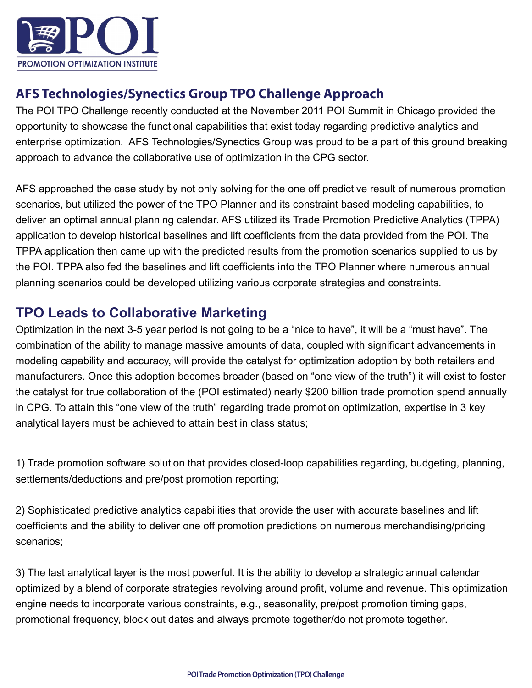

### **AFS Technologies/Synectics Group TPO Challenge Approach**

The POI TPO Challenge recently conducted at the November 2011 POI Summit in Chicago provided the opportunity to showcase the functional capabilities that exist today regarding predictive analytics and enterprise optimization. AFS Technologies/Synectics Group was proud to be a part of this ground breaking approach to advance the collaborative use of optimization in the CPG sector.

AFS approached the case study by not only solving for the one off predictive result of numerous promotion scenarios, but utilized the power of the TPO Planner and its constraint based modeling capabilities, to deliver an optimal annual planning calendar. AFS utilized its Trade Promotion Predictive Analytics (TPPA) application to develop historical baselines and lift coefficients from the data provided from the POI. The TPPA application then came up with the predicted results from the promotion scenarios supplied to us by the POI. TPPA also fed the baselines and lift coefficients into the TPO Planner where numerous annual planning scenarios could be developed utilizing various corporate strategies and constraints.

#### **TPO Leads to Collaborative Marketing**

Optimization in the next 3-5 year period is not going to be a "nice to have", it will be a "must have". The combination of the ability to manage massive amounts of data, coupled with significant advancements in modeling capability and accuracy, will provide the catalyst for optimization adoption by both retailers and manufacturers. Once this adoption becomes broader (based on "one view of the truth") it will exist to foster the catalyst for true collaboration of the (POI estimated) nearly \$200 billion trade promotion spend annually in CPG. To attain this "one view of the truth" regarding trade promotion optimization, expertise in 3 key analytical layers must be achieved to attain best in class status;

1) Trade promotion software solution that provides closed-loop capabilities regarding, budgeting, planning, settlements/deductions and pre/post promotion reporting;

2) Sophisticated predictive analytics capabilities that provide the user with accurate baselines and lift coefficients and the ability to deliver one off promotion predictions on numerous merchandising/pricing scenarios;

3) The last analytical layer is the most powerful. It is the ability to develop a strategic annual calendar optimized by a blend of corporate strategies revolving around profit, volume and revenue. This optimization engine needs to incorporate various constraints, e.g., seasonality, pre/post promotion timing gaps, promotional frequency, block out dates and always promote together/do not promote together.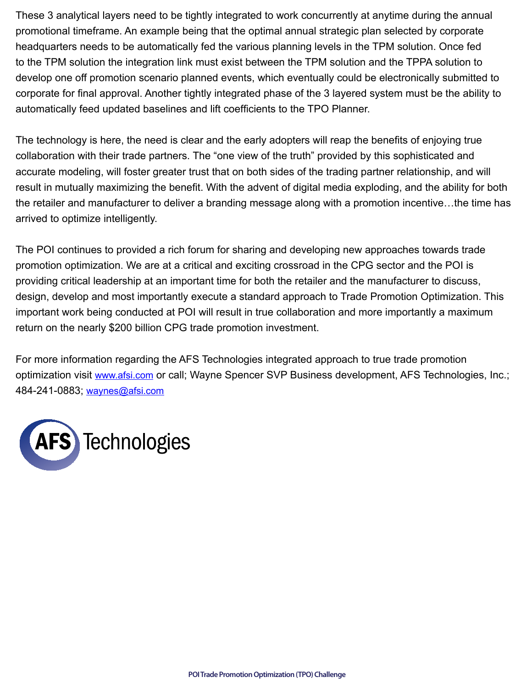These 3 analytical layers need to be tightly integrated to work concurrently at anytime during the annual promotional timeframe. An example being that the optimal annual strategic plan selected by corporate headquarters needs to be automatically fed the various planning levels in the TPM solution. Once fed to the TPM solution the integration link must exist between the TPM solution and the TPPA solution to develop one off promotion scenario planned events, which eventually could be electronically submitted to corporate for final approval. Another tightly integrated phase of the 3 layered system must be the ability to automatically feed updated baselines and lift coefficients to the TPO Planner.

The technology is here, the need is clear and the early adopters will reap the benefits of enjoying true collaboration with their trade partners. The "one view of the truth" provided by this sophisticated and accurate modeling, will foster greater trust that on both sides of the trading partner relationship, and will result in mutually maximizing the benefit. With the advent of digital media exploding, and the ability for both the retailer and manufacturer to deliver a branding message along with a promotion incentive…the time has arrived to optimize intelligently.

The POI continues to provided a rich forum for sharing and developing new approaches towards trade promotion optimization. We are at a critical and exciting crossroad in the CPG sector and the POI is providing critical leadership at an important time for both the retailer and the manufacturer to discuss, design, develop and most importantly execute a standard approach to Trade Promotion Optimization. This important work being conducted at POI will result in true collaboration and more importantly a maximum return on the nearly \$200 billion CPG trade promotion investment.

For more information regarding the AFS Technologies integrated approach to true trade promotion optimization visit [www.afsi.com](http://www.afsi.com) or call; Wayne Spencer SVP Business development, AFS Technologies, Inc.; 484-241-0883; [waynes@afsi.com](mailto:waynes@afsi.com)

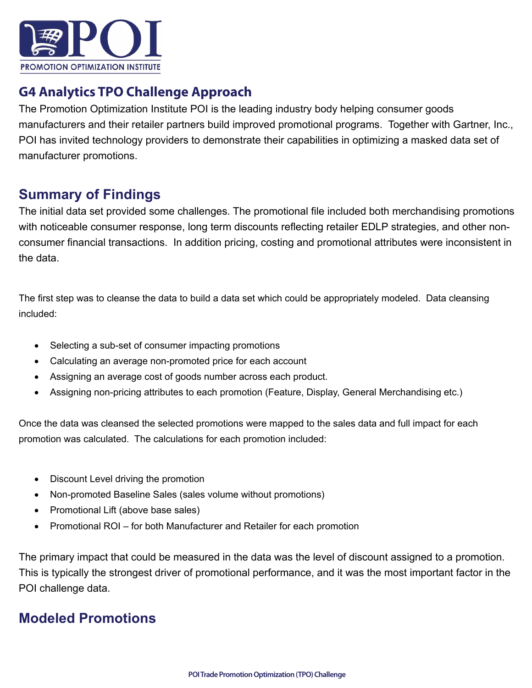

#### **G4 Analytics TPO Challenge Approach**

The Promotion Optimization Institute POI is the leading industry body helping consumer goods manufacturers and their retailer partners build improved promotional programs. Together with Gartner, Inc., POI has invited technology providers to demonstrate their capabilities in optimizing a masked data set of manufacturer promotions.

### **Summary of Findings**

The initial data set provided some challenges. The promotional file included both merchandising promotions with noticeable consumer response, long term discounts reflecting retailer EDLP strategies, and other nonconsumer financial transactions. In addition pricing, costing and promotional attributes were inconsistent in the data.

The first step was to cleanse the data to build a data set which could be appropriately modeled. Data cleansing included:

- Selecting a sub-set of consumer impacting promotions
- Calculating an average non-promoted price for each account
- Assigning an average cost of goods number across each product.
- Assigning non-pricing attributes to each promotion (Feature, Display, General Merchandising etc.)

Once the data was cleansed the selected promotions were mapped to the sales data and full impact for each promotion was calculated. The calculations for each promotion included:

- Discount Level driving the promotion
- Non-promoted Baseline Sales (sales volume without promotions)
- Promotional Lift (above base sales)
- Promotional ROI for both Manufacturer and Retailer for each promotion

The primary impact that could be measured in the data was the level of discount assigned to a promotion. This is typically the strongest driver of promotional performance, and it was the most important factor in the POI challenge data.

#### **Modeled Promotions**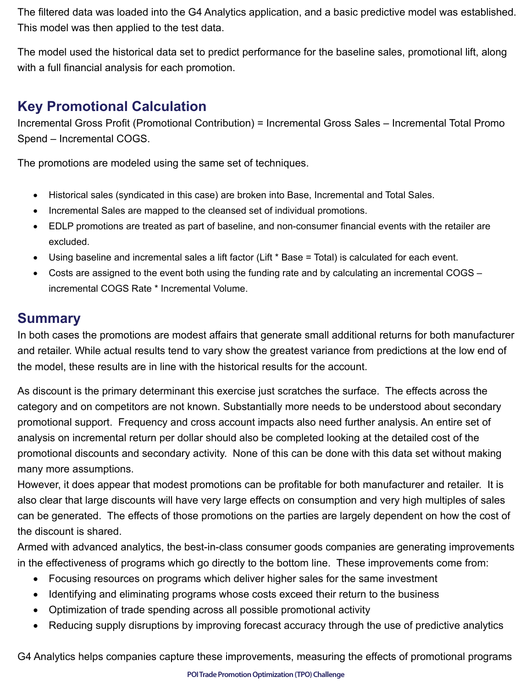The filtered data was loaded into the G4 Analytics application, and a basic predictive model was established. This model was then applied to the test data.

The model used the historical data set to predict performance for the baseline sales, promotional lift, along with a full financial analysis for each promotion.

### **Key Promotional Calculation**

Incremental Gross Profit (Promotional Contribution) = Incremental Gross Sales – Incremental Total Promo Spend – Incremental COGS.

The promotions are modeled using the same set of techniques.

- Historical sales (syndicated in this case) are broken into Base, Incremental and Total Sales.
- Incremental Sales are mapped to the cleansed set of individual promotions.
- EDLP promotions are treated as part of baseline, and non-consumer financial events with the retailer are excluded.
- Using baseline and incremental sales a lift factor (Lift \* Base = Total) is calculated for each event.
- Costs are assigned to the event both using the funding rate and by calculating an incremental COGS incremental COGS Rate \* Incremental Volume.

### **Summary**

In both cases the promotions are modest affairs that generate small additional returns for both manufacturer and retailer. While actual results tend to vary show the greatest variance from predictions at the low end of the model, these results are in line with the historical results for the account.

As discount is the primary determinant this exercise just scratches the surface. The effects across the category and on competitors are not known. Substantially more needs to be understood about secondary promotional support. Frequency and cross account impacts also need further analysis. An entire set of analysis on incremental return per dollar should also be completed looking at the detailed cost of the promotional discounts and secondary activity. None of this can be done with this data set without making many more assumptions.

However, it does appear that modest promotions can be profitable for both manufacturer and retailer. It is also clear that large discounts will have very large effects on consumption and very high multiples of sales can be generated. The effects of those promotions on the parties are largely dependent on how the cost of the discount is shared.

Armed with advanced analytics, the best-in-class consumer goods companies are generating improvements in the effectiveness of programs which go directly to the bottom line. These improvements come from:

- Focusing resources on programs which deliver higher sales for the same investment
- Identifying and eliminating programs whose costs exceed their return to the business
- Optimization of trade spending across all possible promotional activity
- Reducing supply disruptions by improving forecast accuracy through the use of predictive analytics

G4 Analytics helps companies capture these improvements, measuring the effects of promotional programs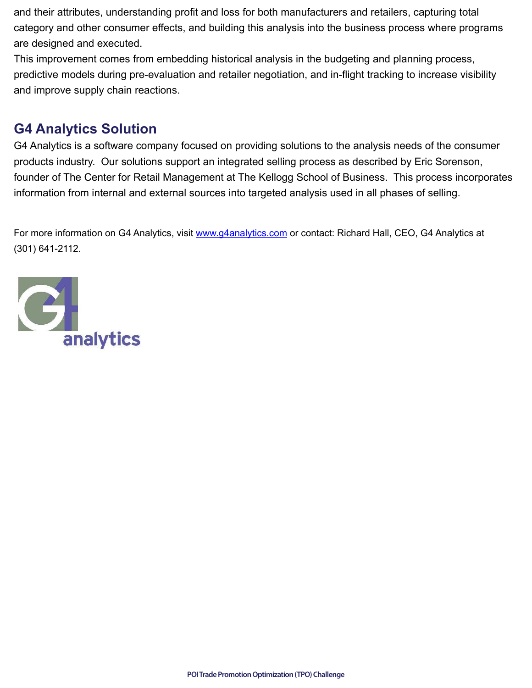and their attributes, understanding profit and loss for both manufacturers and retailers, capturing total category and other consumer effects, and building this analysis into the business process where programs are designed and executed.

This improvement comes from embedding historical analysis in the budgeting and planning process, predictive models during pre-evaluation and retailer negotiation, and in-flight tracking to increase visibility and improve supply chain reactions.

## **G4 Analytics Solution**

G4 Analytics is a software company focused on providing solutions to the analysis needs of the consumer products industry. Our solutions support an integrated selling process as described by Eric Sorenson, founder of The Center for Retail Management at The Kellogg School of Business. This process incorporates information from internal and external sources into targeted analysis used in all phases of selling.

For more information on G4 Analytics, visit [www.g4analytics.com](http://www.g4analytics.com) or contact: Richard Hall, CEO, G4 Analytics at (301) 641-2112.

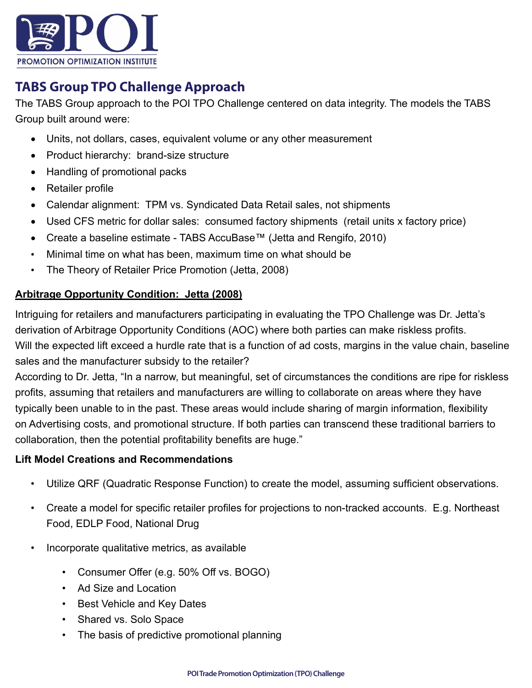

## **TABS Group TPO Challenge Approach**

The TABS Group approach to the POI TPO Challenge centered on data integrity. The models the TABS Group built around were:

- Units, not dollars, cases, equivalent volume or any other measurement
- Product hierarchy: brand-size structure
- Handling of promotional packs
- Retailer profile
- Calendar alignment: TPM vs. Syndicated Data Retail sales, not shipments
- Used CFS metric for dollar sales: consumed factory shipments (retail units x factory price)
- • Create a baseline estimate TABS AccuBase™ (Jetta and Rengifo, 2010)
- Minimal time on what has been, maximum time on what should be
- The Theory of Retailer Price Promotion (Jetta, 2008)

#### **Arbitrage Opportunity Condition: Jetta (2008)**

Intriguing for retailers and manufacturers participating in evaluating the TPO Challenge was Dr. Jetta's derivation of Arbitrage Opportunity Conditions (AOC) where both parties can make riskless profits. Will the expected lift exceed a hurdle rate that is a function of ad costs, margins in the value chain, baseline sales and the manufacturer subsidy to the retailer?

According to Dr. Jetta, "In a narrow, but meaningful, set of circumstances the conditions are ripe for riskless profits, assuming that retailers and manufacturers are willing to collaborate on areas where they have typically been unable to in the past. These areas would include sharing of margin information, flexibility on Advertising costs, and promotional structure. If both parties can transcend these traditional barriers to collaboration, then the potential profitability benefits are huge."

#### **Lift Model Creations and Recommendations**

- Utilize QRF (Quadratic Response Function) to create the model, assuming sufficient observations.
- Create a model for specific retailer profiles for projections to non-tracked accounts. E.g. Northeast Food, EDLP Food, National Drug
- Incorporate qualitative metrics, as available
	- Consumer Offer (e.g. 50% Off vs. BOGO)
	- Ad Size and Location
	- Best Vehicle and Key Dates
	- Shared vs. Solo Space
	- The basis of predictive promotional planning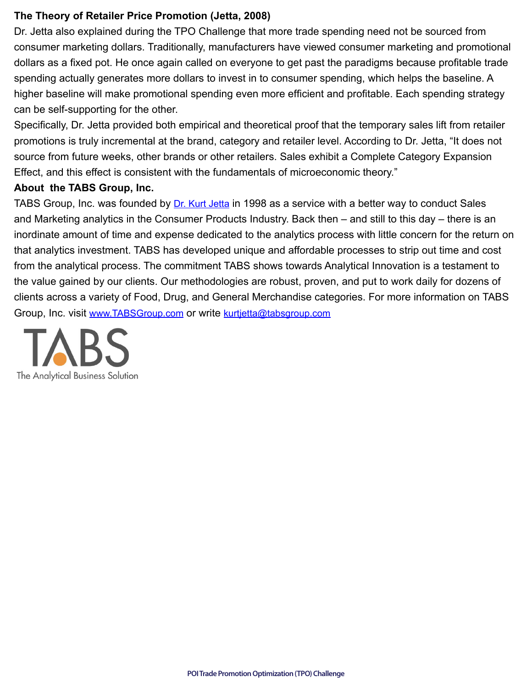#### **The Theory of Retailer Price Promotion (Jetta, 2008)**

Dr. Jetta also explained during the TPO Challenge that more trade spending need not be sourced from consumer marketing dollars. Traditionally, manufacturers have viewed consumer marketing and promotional dollars as a fixed pot. He once again called on everyone to get past the paradigms because profitable trade spending actually generates more dollars to invest in to consumer spending, which helps the baseline. A higher baseline will make promotional spending even more efficient and profitable. Each spending strategy can be self-supporting for the other.

Specifically, Dr. Jetta provided both empirical and theoretical proof that the temporary sales lift from retailer promotions is truly incremental at the brand, category and retailer level. According to Dr. Jetta, "It does not source from future weeks, other brands or other retailers. Sales exhibit a Complete Category Expansion Effect, and this effect is consistent with the fundamentals of microeconomic theory."

#### **About the TABS Group, Inc.**

TABS Group, Inc. was founded by *[Dr. Kurt Jetta](http://www.tabsgroup.com/management-team/dr-kurt-jetta/)* in 1998 as a service with a better way to conduct Sales and Marketing analytics in the Consumer Products Industry. Back then – and still to this day – there is an inordinate amount of time and expense dedicated to the analytics process with little concern for the return on that analytics investment. TABS has developed unique and affordable processes to strip out time and cost from the analytical process. The commitment TABS shows towards Analytical Innovation is a testament to the value gained by our clients. Our methodologies are robust, proven, and put to work daily for dozens of clients across a variety of Food, Drug, and General Merchandise categories. For more information on TABS [Group, Inc. visit www.TABSGroup.com](http://www.TABSGroup.com) or write kurtietta@tabsgroup.com

The Analytical Business Solution